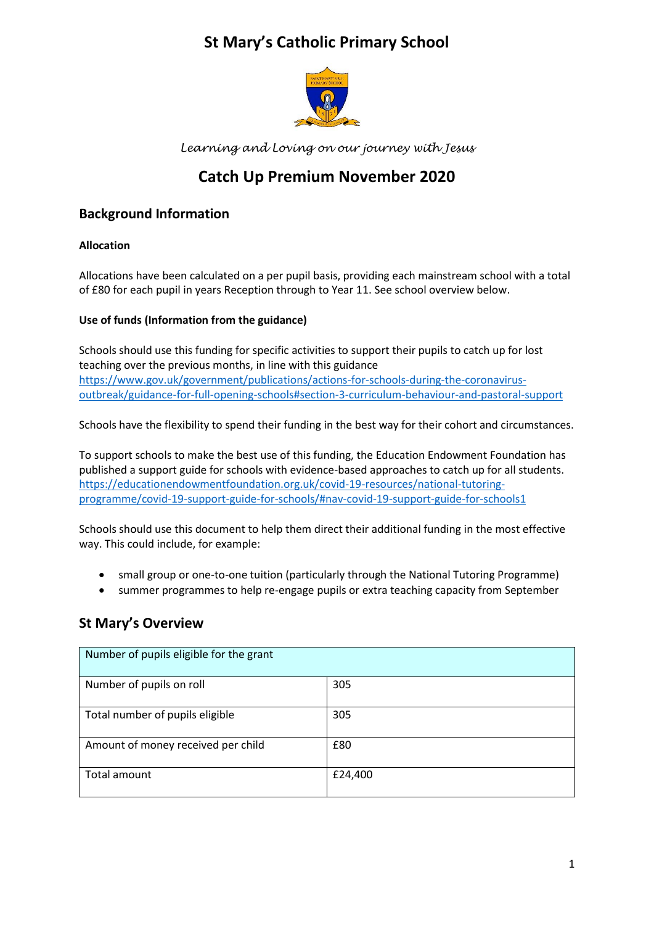## **St Mary's Catholic Primary School**



*Learning and Loving on our journey with Jesus*

# **Catch Up Premium November 2020**

### **Background Information**

#### **Allocation**

Allocations have been calculated on a per pupil basis, providing each mainstream school with a total of £80 for each pupil in years Reception through to Year 11. See school overview below.

#### **Use of funds (Information from the guidance)**

Schools should use this funding for specific activities to support their pupils to catch up for lost teaching over the previous months, in line with this guidance [https://www.gov.uk/government/publications/actions-for-schools-during-the-coronavirus](https://www.gov.uk/government/publications/actions-for-schools-during-the-coronavirus-outbreak/guidance-for-full-opening-schools#section-3-curriculum-behaviour-and-pastoral-support)[outbreak/guidance-for-full-opening-schools#section-3-curriculum-behaviour-and-pastoral-support](https://www.gov.uk/government/publications/actions-for-schools-during-the-coronavirus-outbreak/guidance-for-full-opening-schools#section-3-curriculum-behaviour-and-pastoral-support)

Schools have the flexibility to spend their funding in the best way for their cohort and circumstances.

To support schools to make the best use of this funding, the Education Endowment Foundation has published a support guide for schools with evidence-based approaches to catch up for all students. [https://educationendowmentfoundation.org.uk/covid-19-resources/national-tutoring](https://educationendowmentfoundation.org.uk/covid-19-resources/national-tutoring-programme/covid-19-support-guide-for-schools/#nav-covid-19-support-guide-for-schools1)[programme/covid-19-support-guide-for-schools/#nav-covid-19-support-guide-for-schools1](https://educationendowmentfoundation.org.uk/covid-19-resources/national-tutoring-programme/covid-19-support-guide-for-schools/#nav-covid-19-support-guide-for-schools1)

Schools should use this document to help them direct their additional funding in the most effective way. This could include, for example:

- small group or one-to-one tuition (particularly through the National Tutoring Programme)
- summer programmes to help re-engage pupils or extra teaching capacity from September

## **St Mary's Overview**

| Number of pupils eligible for the grant |         |
|-----------------------------------------|---------|
| Number of pupils on roll                | 305     |
| Total number of pupils eligible         | 305     |
| Amount of money received per child      | £80     |
| Total amount                            | £24,400 |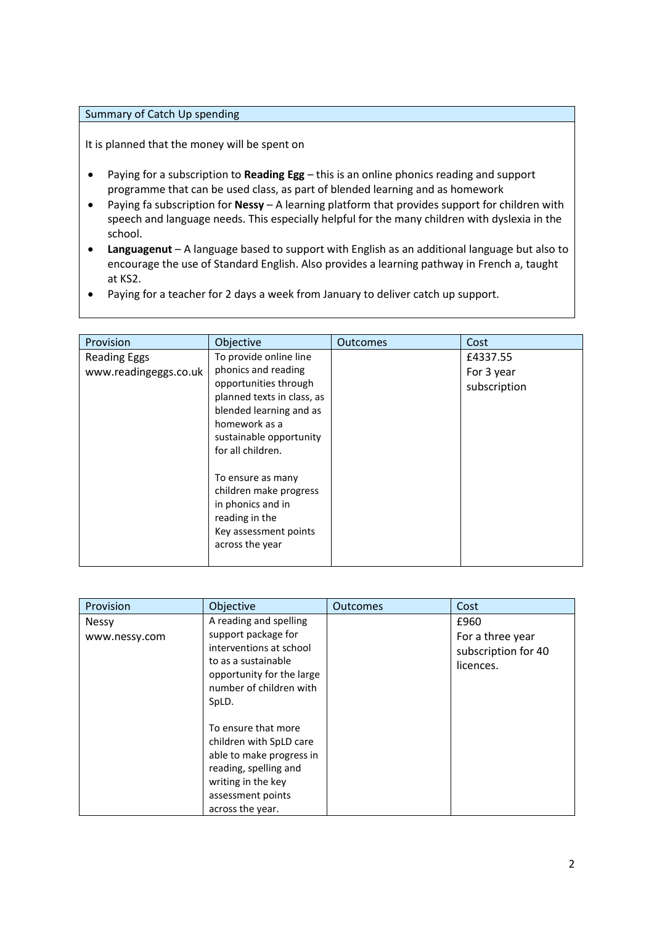#### Summary of Catch Up spending

It is planned that the money will be spent on

- Paying for a subscription to **Reading Egg** this is an online phonics reading and support programme that can be used class, as part of blended learning and as homework
- Paying fa subscription for **Nessy** A learning platform that provides support for children with speech and language needs. This especially helpful for the many children with dyslexia in the school.
- **Languagenut** A language based to support with English as an additional language but also to encourage the use of Standard English. Also provides a learning pathway in French a, taught at KS2.
- Paying for a teacher for 2 days a week from January to deliver catch up support.

| Provision                                    | Objective                                                                                                                                                                                                                                                                                                                          | <b>Outcomes</b> | Cost                                   |
|----------------------------------------------|------------------------------------------------------------------------------------------------------------------------------------------------------------------------------------------------------------------------------------------------------------------------------------------------------------------------------------|-----------------|----------------------------------------|
| <b>Reading Eggs</b><br>www.readingeggs.co.uk | To provide online line<br>phonics and reading<br>opportunities through<br>planned texts in class, as<br>blended learning and as<br>homework as a<br>sustainable opportunity<br>for all children.<br>To ensure as many<br>children make progress<br>in phonics and in<br>reading in the<br>Key assessment points<br>across the year |                 | £4337.55<br>For 3 year<br>subscription |
|                                              |                                                                                                                                                                                                                                                                                                                                    |                 |                                        |

| Provision                     | Objective                                                                                                                                                          | <b>Outcomes</b> | Cost                                                         |
|-------------------------------|--------------------------------------------------------------------------------------------------------------------------------------------------------------------|-----------------|--------------------------------------------------------------|
| <b>Nessy</b><br>www.nessy.com | A reading and spelling<br>support package for<br>interventions at school<br>to as a sustainable<br>opportunity for the large<br>number of children with<br>SpLD.   |                 | £960<br>For a three year<br>subscription for 40<br>licences. |
|                               | To ensure that more<br>children with SpLD care<br>able to make progress in<br>reading, spelling and<br>writing in the key<br>assessment points<br>across the year. |                 |                                                              |